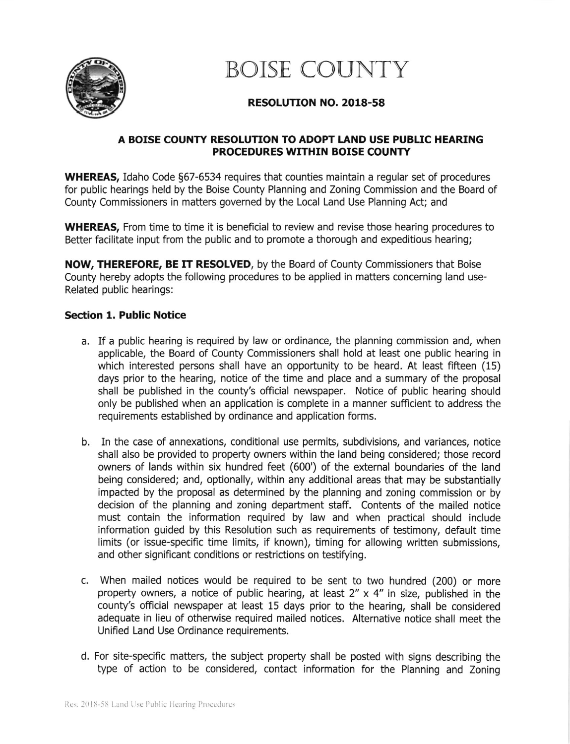

BOISE COUNTY

## RESOLUTION NO. 2018-58

## A BOISE COUNTY RESOLUTION TO ADOPT LAND USE PUBLIC HEARING PROCEDURES WTTHIN BOISE COUNTY

**WHEREAS,** Idaho Code §67-6534 requires that counties maintain a regular set of procedures for public hearings held by the Boise County Planning and Zoning Commission and the Board of County Commissioners in matters governed by the Local Land Use Planning Act; and

WHEREAS, From time to time it is beneficial to review and revise those hearing procedures to Better facilitate input from the public and to promote a thorough and expeditious hearing;

NOW, THEREFORE, BE IT RESOLVED, by the Board of County Commissioners that Boise County hereby adopts the following procedures to be applied in matters concerning land use-Related public hearings:

## Section 1. Public Notice

- a. If a public hearing is required by law or ordinance, the planning commission and, when applicable, the Board of County Commissioners shall hold at least one public hearing in which interested persons shall have an opportunity to be heard. At least fifteen (15) days prior to the hearing, notice of the time and place and a summary of the proposal shall be published in the county's official newspaper. Notice of public hearing should only be published when an application is complete in a manner sufficient to address the requirements established by ordinance and application forms.
- b. In the case of annexations, conditional use permits, subdivisions, and variances, notice shall also be provided to property owners within the land being considered; those record owners of lands within six hundred feet (600') of the external boundaries of the land being considered; and, optionally, within any additional areas that may be substantially lmpacted by the proposal as determined by the planning and zoning commission or by decision of the planning and zoning depaftment staff. Contents of the mailed notice must contain the information required by law and when practical should include information guided by this Resolution such as requirements of testimony, default time limits (or issue-specific time limits, if known), timing for allowing written submissions, and other significant conditions or restrictions on testifying.
- c. When mailed notices would be required to be sent to two hundred (200) or more property owners, a notice of public hearing, at least  $2'' \times 4''$  in size, published in the county's official newspaper at least 15 days prior to the hearing, shall be considered adequate in lieu of otherwise required mailed notices. Alternative notice shall meet the Unified Land Use Ordinance requirements.
- d. For site-specific matters, the subject property shall be posted with signs describing the type of action to be considered, contact information for the Planning and Zoning